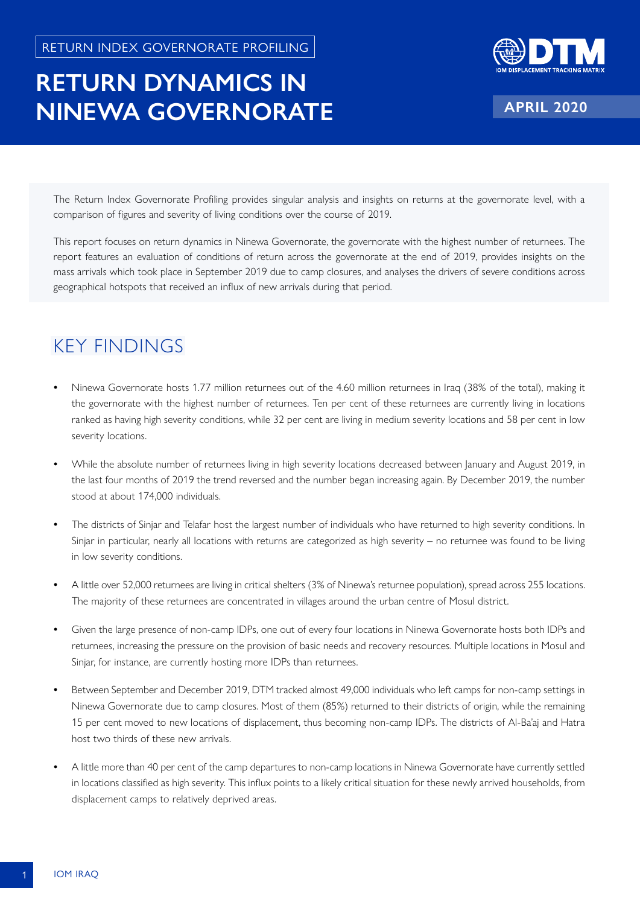## **RETURN DYNAMICS IN NINEWA GOVERNORATE**



**APRIL 2020**

The Return Index Governorate Profiling provides singular analysis and insights on returns at the governorate level, with a comparison of figures and severity of living conditions over the course of 2019.

This report focuses on return dynamics in Ninewa Governorate, the governorate with the highest number of returnees. The report features an evaluation of conditions of return across the governorate at the end of 2019, provides insights on the mass arrivals which took place in September 2019 due to camp closures, and analyses the drivers of severe conditions across geographical hotspots that received an influx of new arrivals during that period.

## KEY FINDINGS

- **•** Ninewa Governorate hosts 1.77 million returnees out of the 4.60 million returnees in Iraq (38% of the total), making it the governorate with the highest number of returnees. Ten per cent of these returnees are currently living in locations ranked as having high severity conditions, while 32 per cent are living in medium severity locations and 58 per cent in low severity locations.
- **•** While the absolute number of returnees living in high severity locations decreased between January and August 2019, in the last four months of 2019 the trend reversed and the number began increasing again. By December 2019, the number stood at about 174,000 individuals.
- **•** The districts of Sinjar and Telafar host the largest number of individuals who have returned to high severity conditions. In Sinjar in particular, nearly all locations with returns are categorized as high severity – no returnee was found to be living in low severity conditions.
- **•** A little over 52,000 returnees are living in critical shelters (3% of Ninewa's returnee population), spread across 255 locations. The majority of these returnees are concentrated in villages around the urban centre of Mosul district.
- **•** Given the large presence of non-camp IDPs, one out of every four locations in Ninewa Governorate hosts both IDPs and returnees, increasing the pressure on the provision of basic needs and recovery resources. Multiple locations in Mosul and Sinjar, for instance, are currently hosting more IDPs than returnees.
- **•** Between September and December 2019, DTM tracked almost 49,000 individuals who left camps for non-camp settings in Ninewa Governorate due to camp closures. Most of them (85%) returned to their districts of origin, while the remaining 15 per cent moved to new locations of displacement, thus becoming non-camp IDPs. The districts of Al-Ba'aj and Hatra host two thirds of these new arrivals.
- **•** A little more than 40 per cent of the camp departures to non-camp locations in Ninewa Governorate have currently settled in locations classified as high severity. This influx points to a likely critical situation for these newly arrived households, from displacement camps to relatively deprived areas.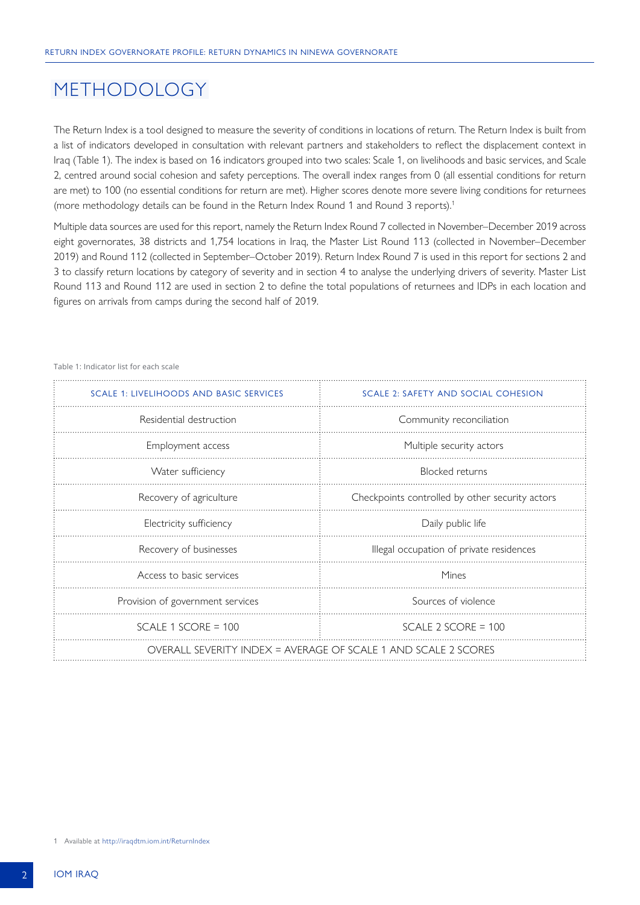### METHODOLOGY

The Return Index is a tool designed to measure the severity of conditions in locations of return. The Return Index is built from a list of indicators developed in consultation with relevant partners and stakeholders to reflect the displacement context in Iraq (Table 1). The index is based on 16 indicators grouped into two scales: Scale 1, on livelihoods and basic services, and Scale 2, centred around social cohesion and safety perceptions. The overall index ranges from 0 (all essential conditions for return are met) to 100 (no essential conditions for return are met). Higher scores denote more severe living conditions for returnees (more methodology details can be found in the Return Index Round 1 and Round 3 reports).1

Multiple data sources are used for this report, namely the Return Index Round 7 collected in November–December 2019 across eight governorates, 38 districts and 1,754 locations in Iraq, the Master List Round 113 (collected in November–December 2019) and Round 112 (collected in September–October 2019). Return Index Round 7 is used in this report for sections 2 and 3 to classify return locations by category of severity and in section 4 to analyse the underlying drivers of severity. Master List Round 113 and Round 112 are used in section 2 to define the total populations of returnees and IDPs in each location and figures on arrivals from camps during the second half of 2019.

| SCALE 1: LIVELIHOODS AND BASIC SERVICES                        | SCALE 2: SAFETY AND SOCIAL COHESION             |  |  |  |  |
|----------------------------------------------------------------|-------------------------------------------------|--|--|--|--|
| Residential destruction                                        | Community reconciliation                        |  |  |  |  |
| Employment access                                              | Multiple security actors                        |  |  |  |  |
| Water sufficiency                                              | <b>Blocked</b> returns                          |  |  |  |  |
| Recovery of agriculture                                        | Checkpoints controlled by other security actors |  |  |  |  |
| Electricity sufficiency                                        | Daily public life                               |  |  |  |  |
| Recovery of businesses                                         | Illegal occupation of private residences        |  |  |  |  |
| Access to basic services                                       | Mines                                           |  |  |  |  |
| Provision of government services                               | Sources of violence                             |  |  |  |  |
| SCALE 1 SCORE = $100$                                          | SCALE 2 SCORE = $100$                           |  |  |  |  |
| OVERALL SEVERITY INDEX = AVERAGE OF SCALE 1 AND SCALE 2 SCORES |                                                 |  |  |  |  |

Table 1: Indicator list for each scale

1 Available at<http://iraqdtm.iom.int/ReturnIndex>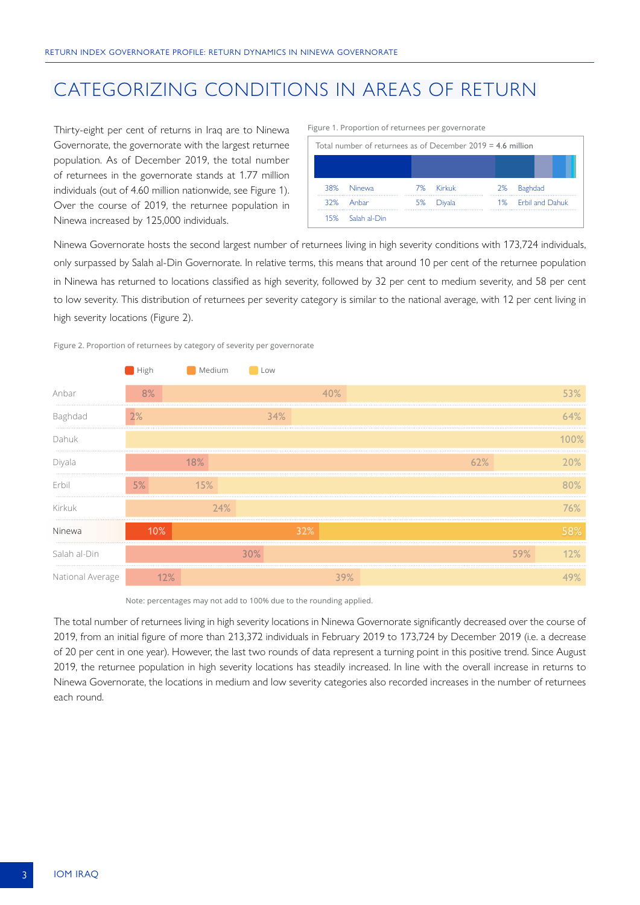## CATEGORIZING CONDITIONS IN AREAS OF RETURN

Thirty-eight per cent of returns in Iraq are to Ninewa Governorate, the governorate with the largest returnee population. As of December 2019, the total number of returnees in the governorate stands at 1.77 million individuals (out of 4.60 million nationwide, see Figure 1). Over the course of 2019, the returnee population in Ninewa increased by 125,000 individuals.

| Total number of returnees as of December $2019 = 4.6$ million |              |    |           |    |                    |  |  |
|---------------------------------------------------------------|--------------|----|-----------|----|--------------------|--|--|
|                                                               |              |    |           |    |                    |  |  |
|                                                               |              |    |           |    |                    |  |  |
|                                                               | 38% Ninewa   |    | 7% Kirkuk | 2% | Baghdad            |  |  |
|                                                               | 32% Anhar    | 5% | Diyala    |    | 1% Erbil and Dahuk |  |  |
| 15%                                                           | Salah al-Din |    |           |    |                    |  |  |

Figure 1. Proportion of returnees per governorate

Ninewa Governorate hosts the second largest number of returnees living in high severity conditions with 173,724 individuals, only surpassed by Salah al-Din Governorate. In relative terms, this means that around 10 per cent of the returnee population in Ninewa has returned to locations classified as high severity, followed by 32 per cent to medium severity, and 58 per cent to low severity. This distribution of returnees per severity category is similar to the national average, with 12 per cent living in high severity locations (Figure 2).



|                  | ,,,,,,, | <u>IVICUIUIII</u> | ∟∪v    |     |     |        |         |
|------------------|---------|-------------------|--------|-----|-----|--------|---------|
| Anbar            | 8%      |                   |        | 40% |     |        | 53%     |
| Baghdad          | 2%      |                   | 34%    |     |     |        | 64%     |
| Dahuk            |         |                   |        |     |     |        | $100\%$ |
| Diyala           |         | 18%               |        |     | 62% |        | 20%     |
| Erbil            | 5%      | 15%               |        |     |     |        | 80%     |
| Kirkuk           |         | 24%               |        |     |     |        | 76%     |
| Ninewa           | 10%     |                   |        | 32% |     |        |         |
| Salah al-Din     |         |                   | $30\%$ |     |     | $59\%$ | 12%     |
| National Average |         |                   |        | 39% |     |        |         |

Note: percentages may not add to 100% due to the rounding applied.

The total number of returnees living in high severity locations in Ninewa Governorate significantly decreased over the course of 2019, from an initial figure of more than 213,372 individuals in February 2019 to 173,724 by December 2019 (i.e. a decrease of 20 per cent in one year). However, the last two rounds of data represent a turning point in this positive trend. Since August 2019, the returnee population in high severity locations has steadily increased. In line with the overall increase in returns to Ninewa Governorate, the locations in medium and low severity categories also recorded increases in the number of returnees each round.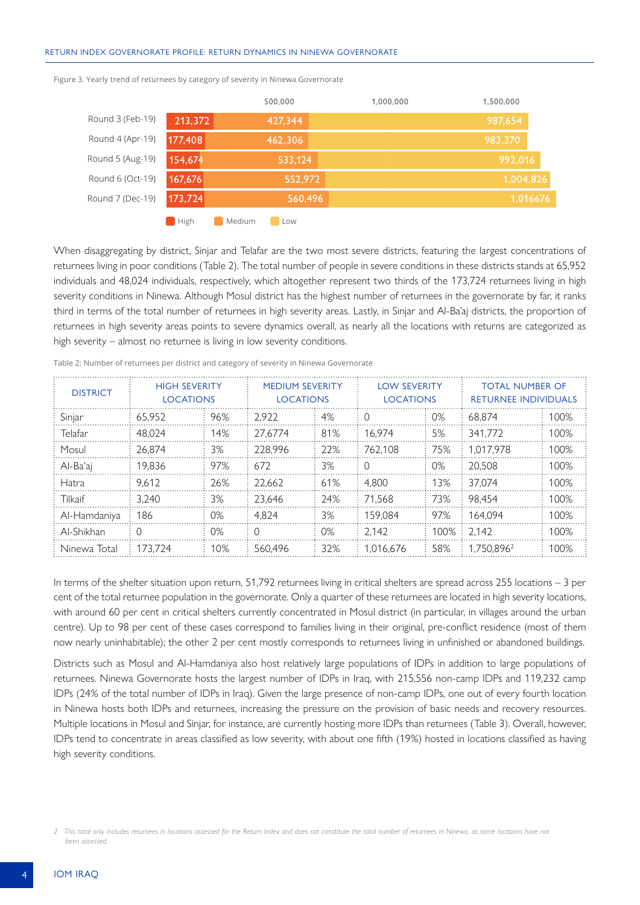#### RETURN INDEX GOVERNORATE PROFILE: RETURN DYNAMICS IN NINEWA GOVERNORATE

|                  |         | 500,000 | 1,000,000 | 1,500,000 |
|------------------|---------|---------|-----------|-----------|
| Round 3 (Feb-19) | 213,372 | 427,344 |           | 987,654   |
| Round 4 (Apr-19) | 177,408 | 462,306 |           | 983,370   |
| Round 5 (Aug-19) | 154,674 | 533,124 |           | 992,016   |
| Round 6 (Oct-19) | 167,676 | 552,972 |           | 1,004,826 |
| Round 7 (Dec-19) | 173,724 | 560,496 |           | 1,016676  |
|                  |         |         |           |           |

Figure 3. Yearly trend of returnees by category of severity in Ninewa Governorate

**Medium** Low

When disaggregating by district, Sinjar and Telafar are the two most severe districts, featuring the largest concentrations of returnees living in poor conditions (Table 2). The total number of people in severe conditions in these districts stands at 65,952 individuals and 48,024 individuals, respectively, which altogether represent two thirds of the 173,724 returnees living in high severity conditions in Ninewa. Although Mosul district has the highest number of returnees in the governorate by far, it ranks third in terms of the total number of returnees in high severity areas. Lastly, in Sinjar and Al-Ba'aj districts, the proportion of returnees in high severity areas points to severe dynamics overall, as nearly all the locations with returns are categorized as high severity – almost no returnee is living in low severity conditions.

| <b>DISTRICT</b> | <b>HIGH SEVERITY</b><br><b>LOCATIONS</b> |     | <b>MEDIUM SEVERITY</b><br><b>LOCATIONS</b> |     | <b>LOW SEVERITY</b><br><b>LOCATIONS</b> |       | <b>TOTAL NUMBER OF</b><br><b>RETURNEE INDIVIDUALS</b> |      |
|-----------------|------------------------------------------|-----|--------------------------------------------|-----|-----------------------------------------|-------|-------------------------------------------------------|------|
| Sinjar          | 65.952                                   | 96% | 2.922                                      | 4%  | 0                                       | $0\%$ | 68.874                                                | 100% |
| Telafar         | 48.024                                   | 14% | 27.6774                                    | 81% | 16.974                                  | 5%    | 341,772                                               | 100% |
| Mosul           | 26.874                                   | 3%  | 228.996                                    | 22% | 762.108                                 | 75%   | 1.017.978                                             | 100% |
| Al-Ba'ai        | 19.836                                   | 97% | 672                                        | 3%  | $\left( \right)$                        | $0\%$ | 20.508                                                | 100% |
| Hatra           | 9.612                                    | 26% | 22.662                                     | 61% | 4.800                                   | 13%   | 37.074                                                | 100% |
| Tilkaif         | 3.240                                    | 3%  | 23.646                                     | 24% | 71.568                                  | 73%   | 98.454                                                | 100% |
| Al-Hamdaniya    | 186                                      | 0%  | 4.824                                      | 3%  | 159.084                                 | 97%   | 164.094                                               | 100% |
| Al-Shikhan      | $\Omega$                                 | 0%  | 0                                          | 0%  | 2.142                                   | 100%  | 2.142                                                 | 100% |
| Ninewa Total    | 173.724                                  | 10% | 560.496                                    | 32% | 1.016.676                               | 58%   | 1.750.896 <sup>2</sup>                                | 100% |

Table 2: Number of returnees per district and category of severity in Ninewa Governorate

In terms of the shelter situation upon return, 51,792 returnees living in critical shelters are spread across 255 locations – 3 per cent of the total returnee population in the governorate. Only a quarter of these returnees are located in high severity locations, with around 60 per cent in critical shelters currently concentrated in Mosul district (in particular, in villages around the urban centre). Up to 98 per cent of these cases correspond to families living in their original, pre-conflict residence (most of them now nearly uninhabitable); the other 2 per cent mostly corresponds to returnees living in unfinished or abandoned buildings.

Districts such as Mosul and Al-Hamdaniya also host relatively large populations of IDPs in addition to large populations of returnees. Ninewa Governorate hosts the largest number of IDPs in Iraq, with 215,556 non-camp IDPs and 119,232 camp IDPs (24% of the total number of IDPs in Iraq). Given the large presence of non-camp IDPs, one out of every fourth location in Ninewa hosts both IDPs and returnees, increasing the pressure on the provision of basic needs and recovery resources. Multiple locations in Mosul and Sinjar, for instance, are currently hosting more IDPs than returnees (Table 3). Overall, however, IDPs tend to concentrate in areas classified as low severity, with about one fifth (19%) hosted in locations classified as having high severity conditions.

*<sup>2</sup> This total only includes returnees in locations assessed for the Return Index and does not constitute the total number of returnees in Ninewa, as some locations have not been assessed.*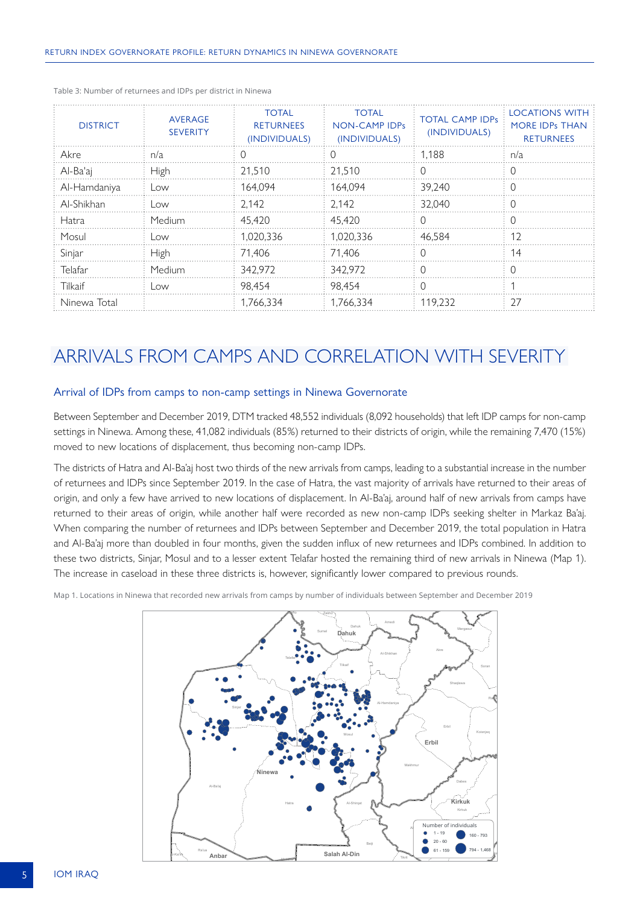| <b>DISTRICT</b> | <b>AVERAGE</b><br><b>SEVERITY</b> | <b>TOTAL</b><br><b>RETURNEES</b><br>(INDIVIDUALS) | <b>TOTAL</b><br>NON-CAMP IDPs<br>(INDIVIDUALS) | <b>TOTAL CAMP IDPs</b><br>(INDIVIDUALS) | <b>LOCATIONS WITH</b><br><b>MORE IDPs THAN</b><br><b>RETURNEES</b> |
|-----------------|-----------------------------------|---------------------------------------------------|------------------------------------------------|-----------------------------------------|--------------------------------------------------------------------|
| Akre            | n/a                               | $\left( \right)$                                  | $\left( \right)$                               | 1.188                                   | n/a                                                                |
| Al-Ba'aj        | High                              | 21.510                                            | 21.510                                         | $\left( \right)$                        | $\left( \right)$                                                   |
| Al-Hamdaniya    | Low                               | 164.094                                           | 164.094                                        | 39.240                                  | $\Omega$                                                           |
| Al-Shikhan      | LOW                               | 2.142                                             | 2.142                                          | 32.040                                  | Ω                                                                  |
| <b>Hatra</b>    | Medium                            | 45.420                                            | 45.420                                         |                                         | D                                                                  |
| Mosul           | _OW                               | 1.020.336                                         | 1.020.336                                      | 46.584                                  | 12                                                                 |
| Sinjar          | High                              | 71.406                                            | 71.406                                         |                                         | 14                                                                 |
| Telafar         | Medium                            | 342.972                                           | 342.972                                        |                                         |                                                                    |
| Tilkaif         | LOW.                              | 98.454                                            | 98.454                                         |                                         |                                                                    |
| Ninewa Total    |                                   | 1.766.334                                         | 1.766.334                                      | 119.232                                 | 27                                                                 |

Table 3: Number of returnees and IDPs per district in Ninewa

## ARRIVALS FROM CAMPS AND CORRELATION WITH SEVERITY

#### Arrival of IDPs from camps to non-camp settings in Ninewa Governorate

Between September and December 2019, DTM tracked 48,552 individuals (8,092 households) that left IDP camps for non-camp settings in Ninewa. Among these, 41,082 individuals (85%) returned to their districts of origin, while the remaining 7,470 (15%) moved to new locations of displacement, thus becoming non-camp IDPs.

The districts of Hatra and Al-Ba'aj host two thirds of the new arrivals from camps, leading to a substantial increase in the number of returnees and IDPs since September 2019. In the case of Hatra, the vast majority of arrivals have returned to their areas of origin, and only a few have arrived to new locations of displacement. In Al-Ba'aj, around half of new arrivals from camps have returned to their areas of origin, while another half were recorded as new non-camp IDPs seeking shelter in Markaz Ba'aj. When comparing the number of returnees and IDPs between September and December 2019, the total population in Hatra and Al-Ba'aj more than doubled in four months, given the sudden influx of new returnees and IDPs combined. In addition to these two districts, Sinjar, Mosul and to a lesser extent Telafar hosted the remaining third of new arrivals in Ninewa (Map 1). The increase in caseload in these three districts is, however, significantly lower compared to previous rounds.

Map 1. Locations in Ninewa that recorded new arrivals from camps by number of individuals between September and December 2019

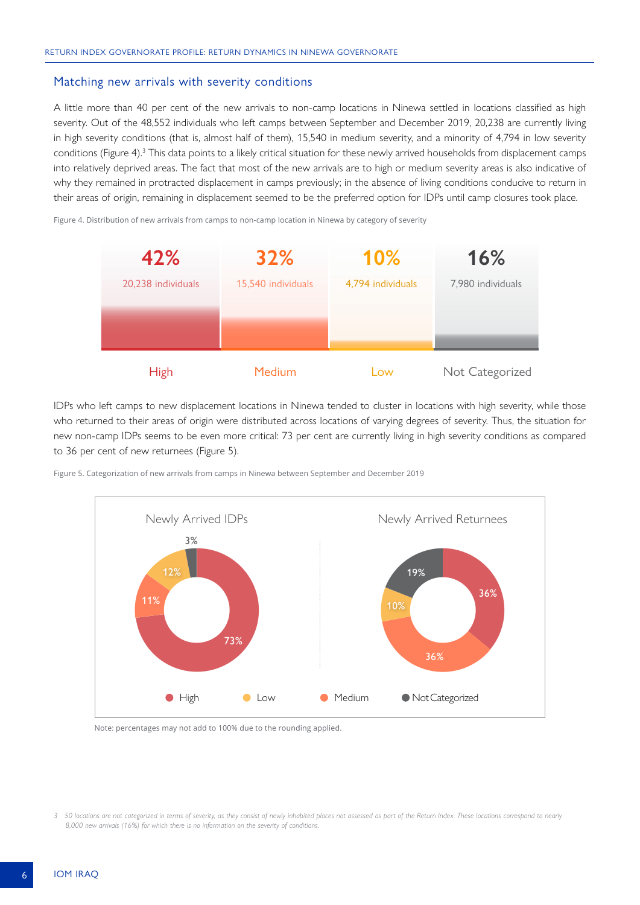#### Matching new arrivals with severity conditions

A little more than 40 per cent of the new arrivals to non-camp locations in Ninewa settled in locations classified as high severity. Out of the 48,552 individuals who left camps between September and December 2019, 20,238 are currently living in high severity conditions (that is, almost half of them), 15,540 in medium severity, and a minority of 4,794 in low severity conditions (Figure 4). $3$  This data points to a likely critical situation for these newly arrived households from displacement camps into relatively deprived areas. The fact that most of the new arrivals are to high or medium severity areas is also indicative of why they remained in protracted displacement in camps previously; in the absence of living conditions conducive to return in their areas of origin, remaining in displacement seemed to be the preferred option for IDPs until camp closures took place.

Figure 4. Distribution of new arrivals from camps to non-camp location in Ninewa by category of severity



IDPs who left camps to new displacement locations in Ninewa tended to cluster in locations with high severity, while those who returned to their areas of origin were distributed across locations of varying degrees of severity. Thus, the situation for new non-camp IDPs seems to be even more critical: 73 per cent are currently living in high severity conditions as compared to 36 per cent of new returnees (Figure 5).

Figure 5. Categorization of new arrivals from camps in Ninewa between September and December 2019



Note: percentages may not add to 100% due to the rounding applied.

*<sup>3</sup> 50 locations are not categorized in terms of severity, as they consist of newly inhabited places not assessed as part of the Return Index. These locations correspond to nearly 8,000 new arrivals (16%) for which there is no information on the severity of conditions.*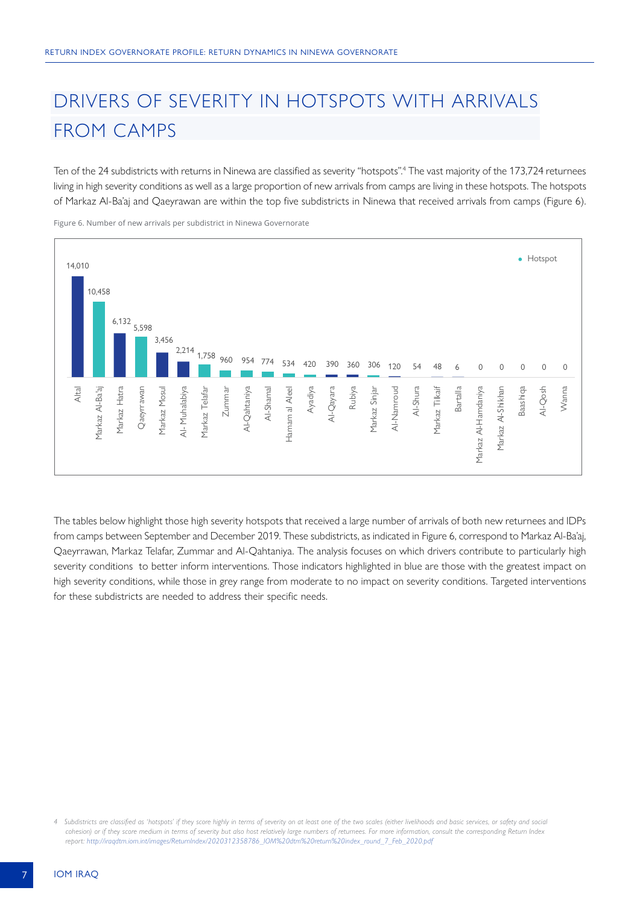## DRIVERS OF SEVERITY IN HOTSPOTS WITH ARRIVALS FROM CAMPS

Ten of the 24 subdistricts with returns in Ninewa are classified as severity "hotspots".4 The vast majority of the 173,724 returnees living in high severity conditions as well as a large proportion of new arrivals from camps are living in these hotspots. The hotspots of Markaz Al-Ba'aj and Qaeyrawan are within the top five subdistricts in Ninewa that received arrivals from camps (Figure 6).



Figure 6. Number of new arrivals per subdistrict in Ninewa Governorate

The tables below highlight those high severity hotspots that received a large number of arrivals of both new returnees and IDPs from camps between September and December 2019. These subdistricts, as indicated in Figure 6, correspond to Markaz Al-Ba'aj, Qaeyrrawan, Markaz Telafar, Zummar and Al-Qahtaniya. The analysis focuses on which drivers contribute to particularly high severity conditions to better inform interventions. Those indicators highlighted in blue are those with the greatest impact on high severity conditions, while those in grey range from moderate to no impact on severity conditions. Targeted interventions for these subdistricts are needed to address their specific needs.

*<sup>4</sup> Subdistricts are classified as 'hotspots' if they score highly in terms of severity on at least one of the two scales (either livelihoods and basic services, or safety and social cohesion) or if they score medium in terms of severity but also host relatively large numbers of returnees. For more information, consult the corresponding Return Index report: [http://iraqdtm.iom.int/images/ReturnIndex/2020312358786\\_IOM%20dtm%20return%20index\\_round\\_7\\_Feb\\_2020.pdf](http://iraqdtm.iom.int/images/ReturnIndex/2020312358786_IOM%20dtm%20return%20index_round_7_Feb_2020.pdf)*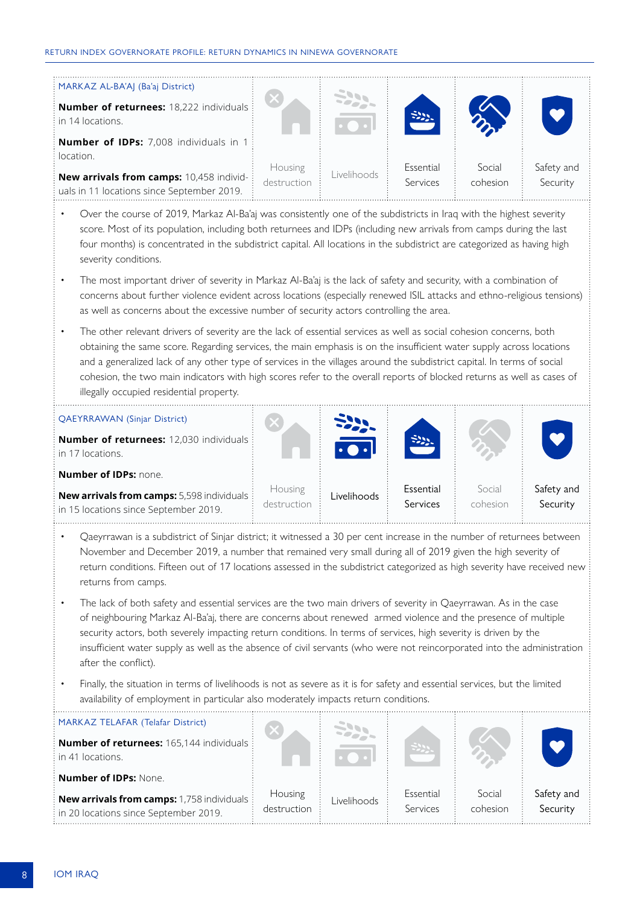#### RETURN INDEX GOVERNORATE PROFILE: RETURN DYNAMICS IN NINEWA GOVERNORATE

| MARKAZ AL-BA'AJ (Ba'aj District)<br><b>Number of returnees:</b> 18,222 individuals i<br>$\pm$ in 14 locations.<br><b>Number of IDPs:</b> 7,008 individuals in 1 |                        |             |                       |                    |                        |
|-----------------------------------------------------------------------------------------------------------------------------------------------------------------|------------------------|-------------|-----------------------|--------------------|------------------------|
| location.<br><b>New arrivals from camps:</b> 10,458 individ-<br>uals in 11 locations since September 2019.                                                      | Housing<br>destruction | Livelihoods | Essential<br>Services | Social<br>cohesion | Safety and<br>Security |

- Over the course of 2019, Markaz Al-Ba'aj was consistently one of the subdistricts in Iraq with the highest severity score. Most of its population, including both returnees and IDPs (including new arrivals from camps during the last four months) is concentrated in the subdistrict capital. All locations in the subdistrict are categorized as having high severity conditions.
- The most important driver of severity in Markaz Al-Ba'aj is the lack of safety and security, with a combination of concerns about further violence evident across locations (especially renewed ISIL attacks and ethno-religious tensions) as well as concerns about the excessive number of security actors controlling the area.
- The other relevant drivers of severity are the lack of essential services as well as social cohesion concerns, both obtaining the same score. Regarding services, the main emphasis is on the insufficient water supply across locations and a generalized lack of any other type of services in the villages around the subdistrict capital. In terms of social cohesion, the two main indicators with high scores refer to the overall reports of blocked returns as well as cases of illegally occupied residential property.

| OAEYRRAWAN (Sinjar District)<br>Number of returnees: 12,030 individuals :<br>$:$ in 17 locations.                                                             |                        | $z_{22}$    | SUL                   |                    |                        |
|---------------------------------------------------------------------------------------------------------------------------------------------------------------|------------------------|-------------|-----------------------|--------------------|------------------------|
| <b>Number of IDPs: none.</b><br>$\frac{1}{2}$ New arrivals from camps: 5,598 individuals $\frac{1}{2}$<br>$\frac{1}{2}$ in 15 locations since September 2019. | Housing<br>destruction | Livelihoods | Essential<br>Services | Social<br>cohesion | Safety and<br>Security |

- Qaeyrrawan is a subdistrict of Sinjar district; it witnessed a 30 per cent increase in the number of returnees between November and December 2019, a number that remained very small during all of 2019 given the high severity of return conditions. Fifteen out of 17 locations assessed in the subdistrict categorized as high severity have received new returns from camps.
- The lack of both safety and essential services are the two main drivers of severity in Qaeyrrawan. As in the case of neighbouring Markaz Al-Ba'aj, there are concerns about renewed armed violence and the presence of multiple security actors, both severely impacting return conditions. In terms of services, high severity is driven by the insufficient water supply as well as the absence of civil servants (who were not reincorporated into the administration after the conflict).
- Finally, the situation in terms of livelihoods is not as severe as it is for safety and essential services, but the limited availability of employment in particular also moderately impacts return conditions.

| : MARKAZ TELAFAR (Telafar District)<br>Mumber of returnees: 165,144 individuals :<br>$\pm$ in 41 locations.                   |                        | $\sum_{i=1}^{n}$ |                       |                    |                        |
|-------------------------------------------------------------------------------------------------------------------------------|------------------------|------------------|-----------------------|--------------------|------------------------|
| : Number of IDPs: None.                                                                                                       |                        |                  |                       |                    |                        |
| $\frac{1}{2}$ New arrivals from camps: 1,758 individuals $\frac{1}{2}$<br>$\frac{1}{2}$ in 20 locations since September 2019. | Housing<br>destruction | Livelihoods      | Essential<br>Services | Social<br>cohesion | Safety and<br>Security |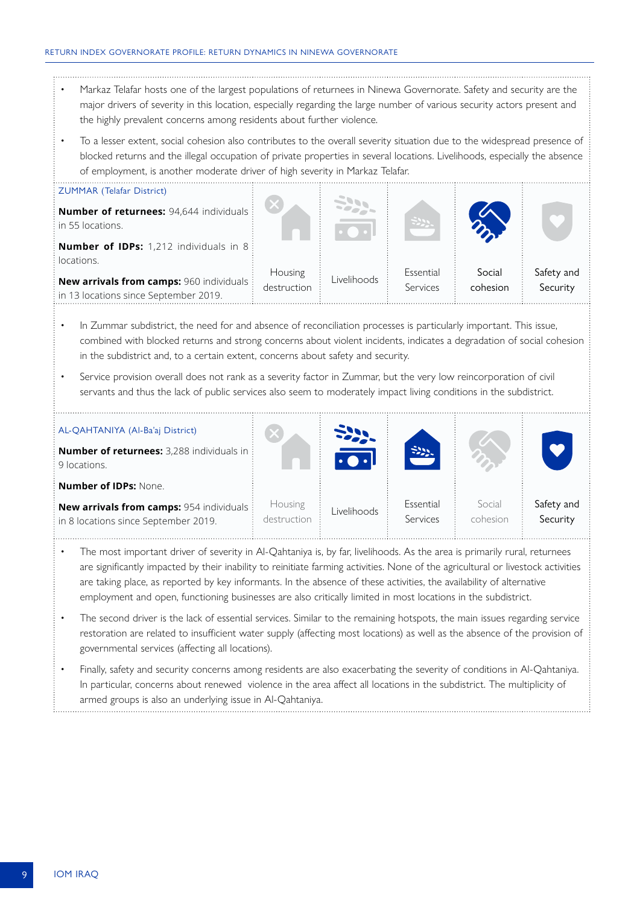- Markaz Telafar hosts one of the largest populations of returnees in Ninewa Governorate. Safety and security are the major drivers of severity in this location, especially regarding the large number of various security actors present and the highly prevalent concerns among residents about further violence.
- To a lesser extent, social cohesion also contributes to the overall severity situation due to the widespread presence of blocked returns and the illegal occupation of private properties in several locations. Livelihoods, especially the absence of employment, is another moderate driver of high severity in Markaz Telafar.



- In Zummar subdistrict, the need for and absence of reconciliation processes is particularly important. This issue, combined with blocked returns and strong concerns about violent incidents, indicates a degradation of social cohesion in the subdistrict and, to a certain extent, concerns about safety and security.
- Service provision overall does not rank as a severity factor in Zummar, but the very low reincorporation of civil servants and thus the lack of public services also seem to moderately impact living conditions in the subdistrict.

| AL-QAHTANIYA (Al-Ba'aj District)<br><b>Number of returnees:</b> 3,288 individuals in $\frac{1}{2}$<br>9 locations. |                        | $\ddot{\phantom{a}}$ | $\approx 2$           |                    |                        |
|--------------------------------------------------------------------------------------------------------------------|------------------------|----------------------|-----------------------|--------------------|------------------------|
| <b>Number of IDPs: None.</b>                                                                                       |                        |                      |                       |                    |                        |
| New arrivals from camps: 954 individuals :<br>in 8 locations since September 2019.                                 | Housing<br>destruction | Livelihoods          | Essential<br>Services | Social<br>cohesion | Safety and<br>Security |

- The most important driver of severity in Al-Qahtaniya is, by far, livelihoods. As the area is primarily rural, returnees are significantly impacted by their inability to reinitiate farming activities. None of the agricultural or livestock activities are taking place, as reported by key informants. In the absence of these activities, the availability of alternative employment and open, functioning businesses are also critically limited in most locations in the subdistrict.
- The second driver is the lack of essential services. Similar to the remaining hotspots, the main issues regarding service restoration are related to insufficient water supply (affecting most locations) as well as the absence of the provision of governmental services (affecting all locations).
- Finally, safety and security concerns among residents are also exacerbating the severity of conditions in Al-Qahtaniya. In particular, concerns about renewed violence in the area affect all locations in the subdistrict. The multiplicity of armed groups is also an underlying issue in Al-Qahtaniya.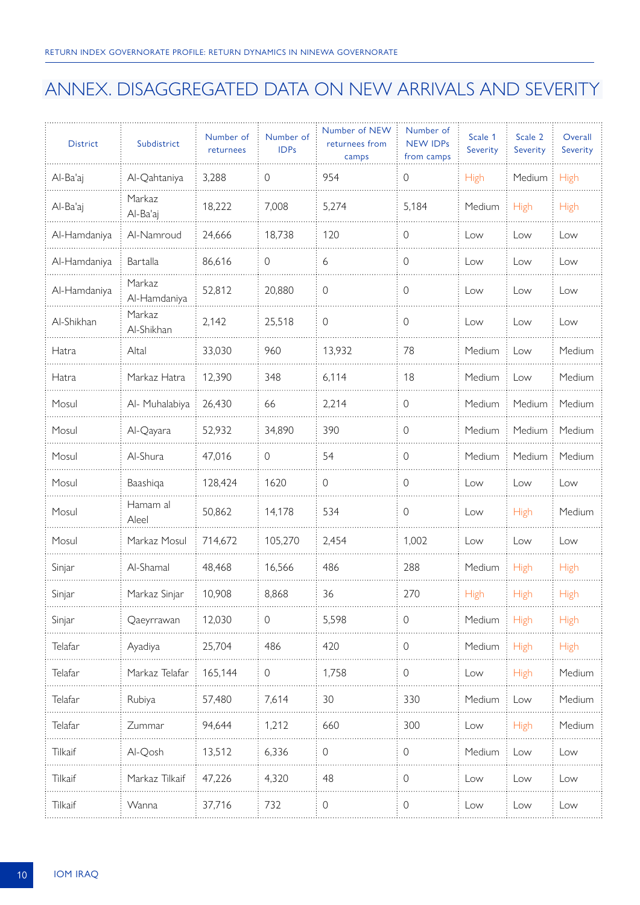## ANNEX. DISAGGREGATED DATA ON NEW ARRIVALS AND SEVERITY

| <b>District</b> | Subdistrict            | Number of<br>returnees | Number of<br><b>IDPs</b> | Number of NEW<br>returnees from<br>camps | Number of<br><b>NEW IDPs</b><br>from camps | Scale 1<br>Severity | Scale 2<br>Severity | Overall<br>Severity |
|-----------------|------------------------|------------------------|--------------------------|------------------------------------------|--------------------------------------------|---------------------|---------------------|---------------------|
| Al-Ba'aj        | Al-Qahtaniya           | 3,288                  | $\mathbf 0$              | 954                                      | $\mathsf{O}\xspace$                        | <b>High</b>         | Medium              | <b>High</b>         |
| Al-Ba'aj        | Markaz<br>Al-Ba'aj     | 18,222                 | 7,008                    | 5,274                                    | 5,184                                      | Medium              | <b>High</b>         | <b>High</b>         |
| Al-Hamdaniya    | Al-Namroud             | 24,666                 | 18,738                   | 120                                      | 0                                          | Low                 | Low                 | Low                 |
| Al-Hamdaniya    | Bartalla               | 86,616                 | 0                        | 6                                        | 0                                          | Low                 | Low                 | Low                 |
| Al-Hamdaniya    | Markaz<br>Al-Hamdaniya | 52,812                 | 20,880                   | $\mathbf 0$                              | $\mathbf 0$                                | Low                 | Low                 | Low                 |
| Al-Shikhan      | Markaz<br>Al-Shikhan   | 2,142                  | 25,518                   | $\mathbf 0$                              | $\mathbf 0$                                | Low                 | Low                 | Low                 |
| Hatra           | Altal                  | 33,030                 | 960                      | 13,932                                   | 78                                         | Medium              | Low                 | Medium              |
| Hatra           | Markaz Hatra           | 12,390                 | 348                      | 6,114                                    | 18                                         | Medium              | Low                 | Medium              |
| Mosul           | Al- Muhalabiya         | 26,430                 | 66                       | 2,214                                    | $\mathsf{O}\xspace$                        | Medium              | Medium              | Medium              |
| Mosul           | Al-Qayara              | 52,932                 | 34,890                   | 390                                      | $\mathbf 0$                                | Medium              | Medium              | Medium              |
| Mosul           | Al-Shura               | 47,016                 | $\mathsf{O}$             | 54                                       | $\mathsf{O}\xspace$                        | Medium              | Medium              | Medium              |
| Mosul           | Baashiqa               | 128,424                | 1620                     | $\mathbf 0$                              | $\mathbf 0$                                | Low                 | Low                 | Low                 |
| Mosul           | Hamam al<br>Aleel      | 50,862                 | 14,178                   | 534                                      | $\mathsf{O}\xspace$                        | Low                 | High                | Medium              |
| Mosul           | Markaz Mosul           | 714,672                | 105,270                  | 2,454                                    | 1,002                                      | Low                 | Low                 | Low                 |
| Sinjar          | Al-Shamal              | 48,468                 | 16,566                   | 486                                      | 288                                        | Medium              | High                | High                |
| Sinjar          | Markaz Sinjar          | 10,908                 | 8,868                    | 36                                       | 270                                        | <b>High</b>         | High                | High                |
| Sinjar          | Qaeyrrawan             | 12,030                 | $\mathsf{O}$             | 5,598                                    | $\mathbf 0$                                | Medium              | High                | High                |
| Telafar         | Ayadiya                | 25,704                 | 486                      | 420                                      | $\mathsf{O}\xspace$                        | Medium              | High                | High                |
| Telafar         | Markaz Telafar         | 165,144                | $\circ$                  | 1,758                                    | $\mathsf{O}$                               | Low                 | High                | Medium              |
| Telafar         | Rubiya                 | 57,480                 | 7,614                    | 30                                       | 330                                        | Medium              | Low                 | Medium              |
| Telafar         | Zummar                 | 94,644                 | 1,212                    | 660                                      | 300                                        | Low                 | High                | Medium              |
| <b>Tilkaif</b>  | Al-Qosh                | 13,512                 | 6,336                    | $\mathbf 0$                              | $\mathsf{O}\xspace$                        | Medium              | Low                 | Low                 |
| <b>Tilkaif</b>  | Markaz Tilkaif         | 47,226                 | 4,320                    | 48                                       | $\mathbf 0$                                | Low                 | Low                 | Low                 |
| <b>Tilkaif</b>  | Wanna                  | 37,716                 | 732                      | $\mathsf{O}$                             | 0                                          | Low                 | Low                 | Low                 |